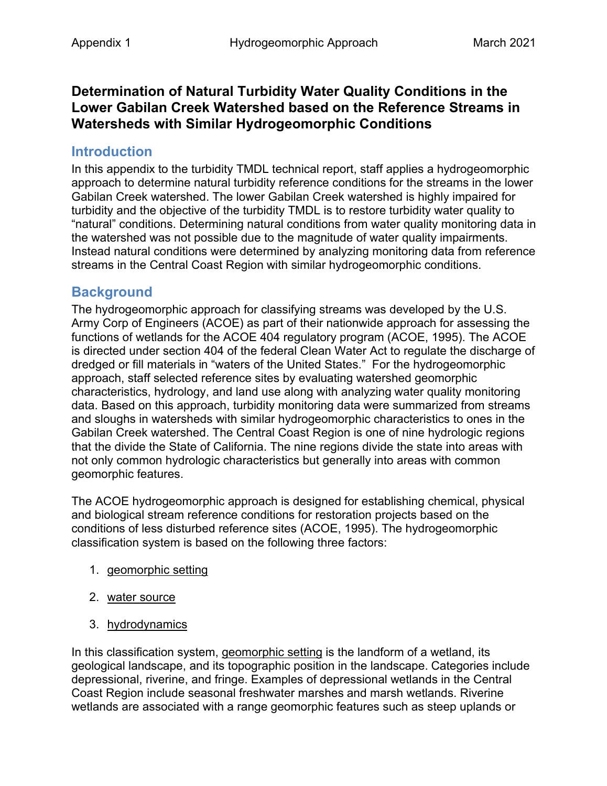## **Determination of Natural Turbidity Water Quality Conditions in the Lower Gabilan Creek Watershed based on the Reference Streams in Watersheds with Similar Hydrogeomorphic Conditions**

## **Introduction**

In this appendix to the turbidity TMDL technical report, staff applies a hydrogeomorphic approach to determine natural turbidity reference conditions for the streams in the lower Gabilan Creek watershed. The lower Gabilan Creek watershed is highly impaired for turbidity and the objective of the turbidity TMDL is to restore turbidity water quality to "natural" conditions. Determining natural conditions from water quality monitoring data in the watershed was not possible due to the magnitude of water quality impairments. Instead natural conditions were determined by analyzing monitoring data from reference streams in the Central Coast Region with similar hydrogeomorphic conditions.

## **Background**

The hydrogeomorphic approach for classifying streams was developed by the U.S. Army Corp of Engineers (ACOE) as part of their nationwide approach for assessing the functions of wetlands for the ACOE 404 regulatory program (ACOE, 1995). The ACOE is directed under section 404 of the federal Clean Water Act to regulate the discharge of dredged or fill materials in "waters of the United States." For the hydrogeomorphic approach, staff selected reference sites by evaluating watershed geomorphic characteristics, hydrology, and land use along with analyzing water quality monitoring data. Based on this approach, turbidity monitoring data were summarized from streams and sloughs in watersheds with similar hydrogeomorphic characteristics to ones in the Gabilan Creek watershed. The Central Coast Region is one of nine hydrologic regions that the divide the State of California. The nine regions divide the state into areas with not only common hydrologic characteristics but generally into areas with common geomorphic features.

The ACOE hydrogeomorphic approach is designed for establishing chemical, physical and biological stream reference conditions for restoration projects based on the conditions of less disturbed reference sites (ACOE, 1995). The hydrogeomorphic classification system is based on the following three factors:

- 1. geomorphic setting
- 2. water source
- 3. hydrodynamics

In this classification system, geomorphic setting is the landform of a wetland, its geological landscape, and its topographic position in the landscape. Categories include depressional, riverine, and fringe. Examples of depressional wetlands in the Central Coast Region include seasonal freshwater marshes and marsh wetlands. Riverine wetlands are associated with a range geomorphic features such as steep uplands or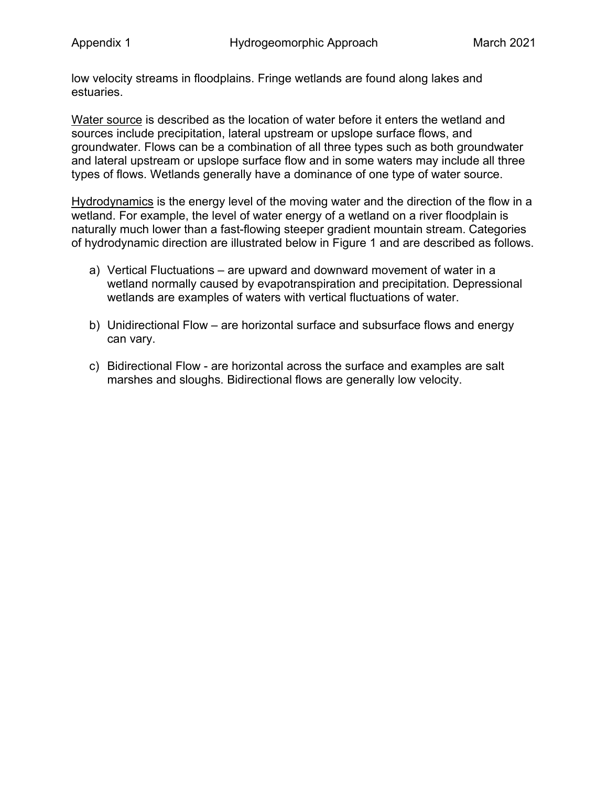low velocity streams in floodplains. Fringe wetlands are found along lakes and estuaries.

Water source is described as the location of water before it enters the wetland and sources include precipitation, lateral upstream or upslope surface flows, and groundwater. Flows can be a combination of all three types such as both groundwater and lateral upstream or upslope surface flow and in some waters may include all three types of flows. Wetlands generally have a dominance of one type of water source.

Hydrodynamics is the energy level of the moving water and the direction of the flow in a wetland. For example, the level of water energy of a wetland on a river floodplain is naturally much lower than a fast-flowing steeper gradient mountain stream. Categories of hydrodynamic direction are illustrated below in Figure 1 and are described as follows.

- a) Vertical Fluctuations are upward and downward movement of water in a wetland normally caused by evapotranspiration and precipitation. Depressional wetlands are examples of waters with vertical fluctuations of water.
- b) Unidirectional Flow are horizontal surface and subsurface flows and energy can vary.
- c) Bidirectional Flow are horizontal across the surface and examples are salt marshes and sloughs. Bidirectional flows are generally low velocity.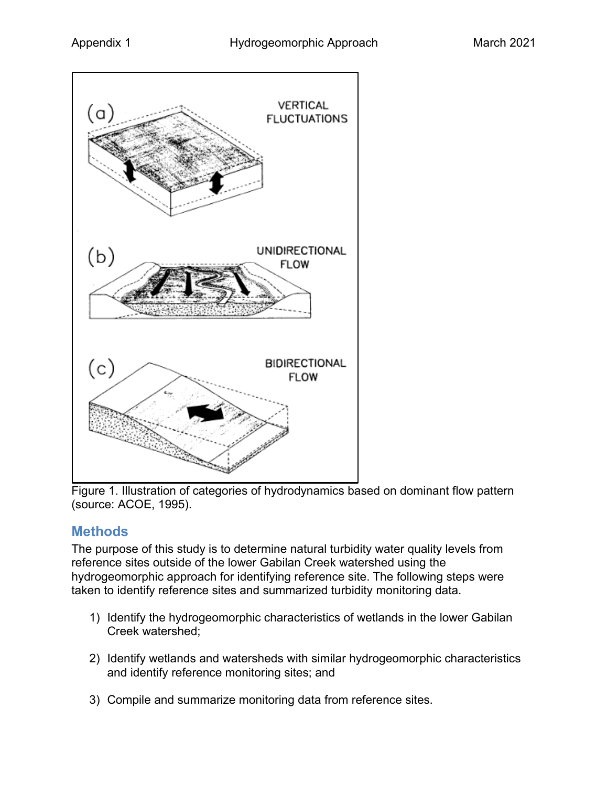

Figure 1. Illustration of categories of hydrodynamics based on dominant flow pattern (source: ACOE, 1995).

# **Methods**

The purpose of this study is to determine natural turbidity water quality levels from reference sites outside of the lower Gabilan Creek watershed using the hydrogeomorphic approach for identifying reference site. The following steps were taken to identify reference sites and summarized turbidity monitoring data.

- 1) Identify the hydrogeomorphic characteristics of wetlands in the lower Gabilan Creek watershed;
- 2) Identify wetlands and watersheds with similar hydrogeomorphic characteristics and identify reference monitoring sites; and
- 3) Compile and summarize monitoring data from reference sites.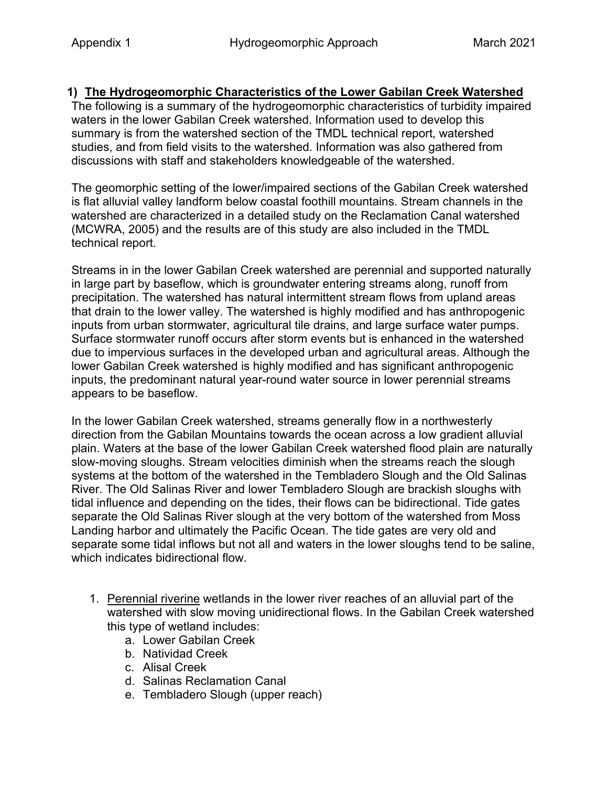#### **1) The Hydrogeomorphic Characteristics of the Lower Gabilan Creek Watershed**

The following is a summary of the hydrogeomorphic characteristics of turbidity impaired waters in the lower Gabilan Creek watershed. Information used to develop this summary is from the watershed section of the TMDL technical report, watershed studies, and from field visits to the watershed. Information was also gathered from discussions with staff and stakeholders knowledgeable of the watershed.

The geomorphic setting of the lower/impaired sections of the Gabilan Creek watershed is flat alluvial valley landform below coastal foothill mountains. Stream channels in the watershed are characterized in a detailed study on the Reclamation Canal watershed (MCWRA, 2005) and the results are of this study are also included in the TMDL technical report.

Streams in in the lower Gabilan Creek watershed are perennial and supported naturally in large part by baseflow, which is groundwater entering streams along, runoff from precipitation. The watershed has natural intermittent stream flows from upland areas that drain to the lower valley. The watershed is highly modified and has anthropogenic inputs from urban stormwater, agricultural tile drains, and large surface water pumps. Surface stormwater runoff occurs after storm events but is enhanced in the watershed due to impervious surfaces in the developed urban and agricultural areas. Although the lower Gabilan Creek watershed is highly modified and has significant anthropogenic inputs, the predominant natural year-round water source in lower perennial streams appears to be baseflow.

In the lower Gabilan Creek watershed, streams generally flow in a northwesterly direction from the Gabilan Mountains towards the ocean across a low gradient alluvial plain. Waters at the base of the lower Gabilan Creek watershed flood plain are naturally slow-moving sloughs. Stream velocities diminish when the streams reach the slough systems at the bottom of the watershed in the Tembladero Slough and the Old Salinas River. The Old Salinas River and lower Tembladero Slough are brackish sloughs with tidal influence and depending on the tides, their flows can be bidirectional. Tide gates separate the Old Salinas River slough at the very bottom of the watershed from Moss Landing harbor and ultimately the Pacific Ocean. The tide gates are very old and separate some tidal inflows but not all and waters in the lower sloughs tend to be saline, which indicates bidirectional flow.

- 1. Perennial riverine wetlands in the lower river reaches of an alluvial part of the watershed with slow moving unidirectional flows. In the Gabilan Creek watershed this type of wetland includes:
	- a. Lower Gabilan Creek
	- b. Natividad Creek
	- c. Alisal Creek
	- d. Salinas Reclamation Canal
	- e. Tembladero Slough (upper reach)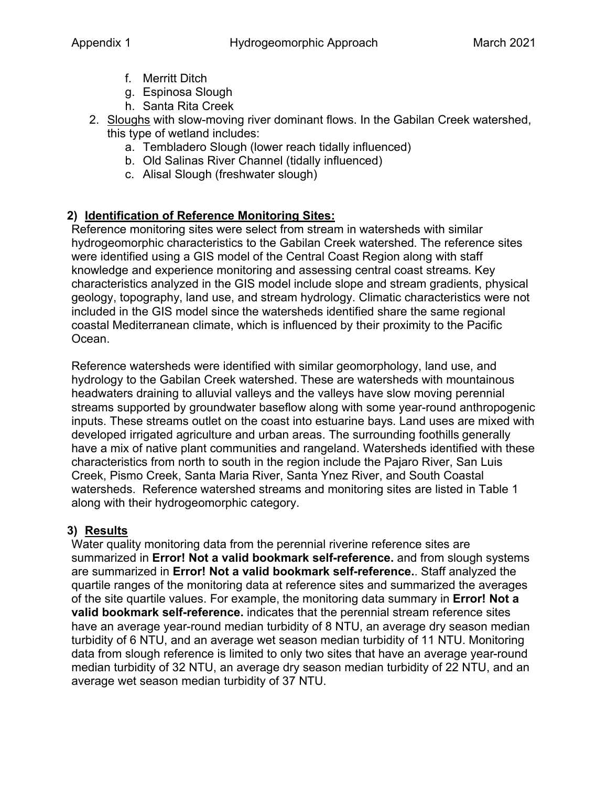- f. Merritt Ditch
- g. Espinosa Slough
- h. Santa Rita Creek
- 2. Sloughs with slow-moving river dominant flows. In the Gabilan Creek watershed, this type of wetland includes:
	- a. Tembladero Slough (lower reach tidally influenced)
	- b. Old Salinas River Channel (tidally influenced)
	- c. Alisal Slough (freshwater slough)

### **2) Identification of Reference Monitoring Sites:**

Reference monitoring sites were select from stream in watersheds with similar hydrogeomorphic characteristics to the Gabilan Creek watershed. The reference sites were identified using a GIS model of the Central Coast Region along with staff knowledge and experience monitoring and assessing central coast streams. Key characteristics analyzed in the GIS model include slope and stream gradients, physical geology, topography, land use, and stream hydrology. Climatic characteristics were not included in the GIS model since the watersheds identified share the same regional coastal Mediterranean climate, which is influenced by their proximity to the Pacific Ocean.

Reference watersheds were identified with similar geomorphology, land use, and hydrology to the Gabilan Creek watershed. These are watersheds with mountainous headwaters draining to alluvial valleys and the valleys have slow moving perennial streams supported by groundwater baseflow along with some year-round anthropogenic inputs. These streams outlet on the coast into estuarine bays. Land uses are mixed with developed irrigated agriculture and urban areas. The surrounding foothills generally have a mix of native plant communities and rangeland. Watersheds identified with these characteristics from north to south in the region include the Pajaro River, San Luis Creek, Pismo Creek, Santa Maria River, Santa Ynez River, and South Coastal watersheds. Reference watershed streams and monitoring sites are listed in [Table 1](#page-6-0) along with their hydrogeomorphic category.

#### **3) Results**

Water quality monitoring data from the perennial riverine reference sites are summarized in **Error! Not a valid bookmark self-reference.** and from slough systems are summarized in **Error! Not a valid bookmark self-reference.**. Staff analyzed the quartile ranges of the monitoring data at reference sites and summarized the averages of the site quartile values. For example, the monitoring data summary in **Error! Not a valid bookmark self-reference.** indicates that the perennial stream reference sites have an average year-round median turbidity of 8 NTU, an average dry season median turbidity of 6 NTU, and an average wet season median turbidity of 11 NTU. Monitoring data from slough reference is limited to only two sites that have an average year-round median turbidity of 32 NTU, an average dry season median turbidity of 22 NTU, and an average wet season median turbidity of 37 NTU.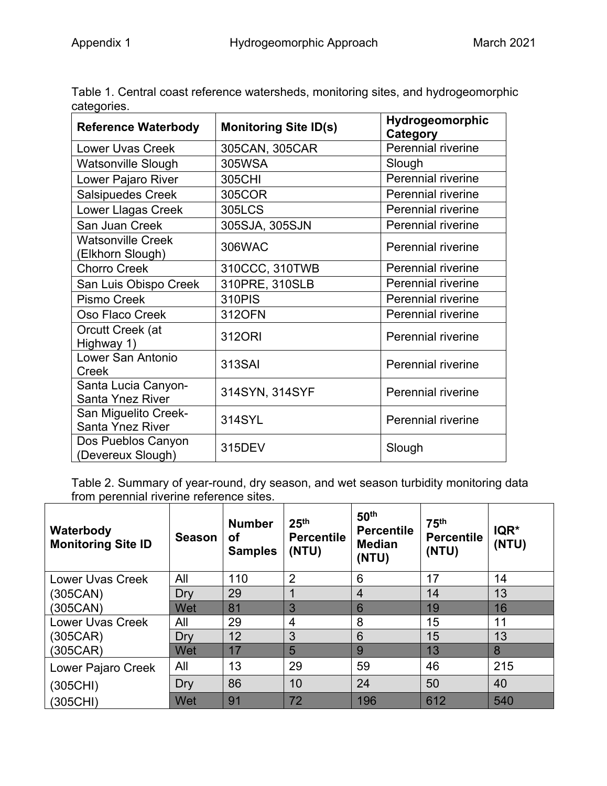| <b>Reference Waterbody</b>                      | <b>Monitoring Site ID(s)</b> | Hydrogeomorphic<br>Category |  |
|-------------------------------------------------|------------------------------|-----------------------------|--|
| <b>Lower Uvas Creek</b>                         | 305CAN, 305CAR               | Perennial riverine          |  |
| <b>Watsonville Slough</b>                       | 305WSA                       | Slough                      |  |
| Lower Pajaro River                              | 305CHI                       | Perennial riverine          |  |
| Salsipuedes Creek                               | 305COR                       | <b>Perennial riverine</b>   |  |
| <b>Lower Llagas Creek</b>                       | 305LCS                       | Perennial riverine          |  |
| San Juan Creek                                  | 305SJA, 305SJN               | Perennial riverine          |  |
| <b>Watsonville Creek</b><br>(Elkhorn Slough)    | 306WAC                       | Perennial riverine          |  |
| <b>Chorro Creek</b>                             | 310CCC, 310TWB               | Perennial riverine          |  |
| San Luis Obispo Creek                           | 310PRE, 310SLB               | Perennial riverine          |  |
| Pismo Creek                                     | 310PIS                       | Perennial riverine          |  |
| Oso Flaco Creek                                 | 312OFN                       | Perennial riverine          |  |
| Orcutt Creek (at<br>Highway 1)                  | 312ORI                       | <b>Perennial riverine</b>   |  |
| Lower San Antonio<br>Creek                      | 313SAI                       | <b>Perennial riverine</b>   |  |
| Santa Lucia Canyon-<br><b>Santa Ynez River</b>  | 314SYN, 314SYF               | Perennial riverine          |  |
| San Miguelito Creek-<br><b>Santa Ynez River</b> | 314SYL                       | Perennial riverine          |  |
| Dos Pueblos Canyon<br>(Devereux Slough)         | 315DEV                       | Slough                      |  |

<span id="page-6-0"></span>Table 1. Central coast reference watersheds, monitoring sites, and hydrogeomorphic categories.

Table 2. Summary of year-round, dry season, and wet season turbidity monitoring data from perennial riverine reference sites.

| Waterbody<br><b>Monitoring Site ID</b> | <b>Season</b> | <b>Number</b><br><b>of</b><br><b>Samples</b> | 25 <sup>th</sup><br><b>Percentile</b><br>(NTU) | 50 <sup>th</sup><br><b>Percentile</b><br><b>Median</b><br>(NTU) | 75 <sup>th</sup><br><b>Percentile</b><br>(NTU) | IQR*<br>(NTU) |
|----------------------------------------|---------------|----------------------------------------------|------------------------------------------------|-----------------------------------------------------------------|------------------------------------------------|---------------|
| <b>Lower Uvas Creek</b>                | All           | 110                                          | $\overline{2}$                                 | 6                                                               | 17                                             | 14            |
| (305CAN)                               | Dry           | 29                                           |                                                | $\overline{4}$                                                  | 14                                             | 13            |
| (305CAN)                               | Wet           | 81                                           | 3                                              | 6                                                               | 19                                             | 16            |
| <b>Lower Uvas Creek</b>                | All           | 29                                           | 4                                              | 8                                                               | 15                                             | 11            |
| (305CAR)                               | Dry           | 12                                           | 3                                              | 6                                                               | 15                                             | 13            |
| (305CAR)                               | Wet           | 17                                           | 5                                              | 9                                                               | 13                                             | 8             |
| Lower Pajaro Creek                     | All           | 13                                           | 29                                             | 59                                                              | 46                                             | 215           |
| (305CHI)                               | Dry           | 86                                           | 10                                             | 24                                                              | 50                                             | 40            |
| (305CHI)                               | Wet           | 91                                           | 72                                             | 196                                                             | 612                                            | 540           |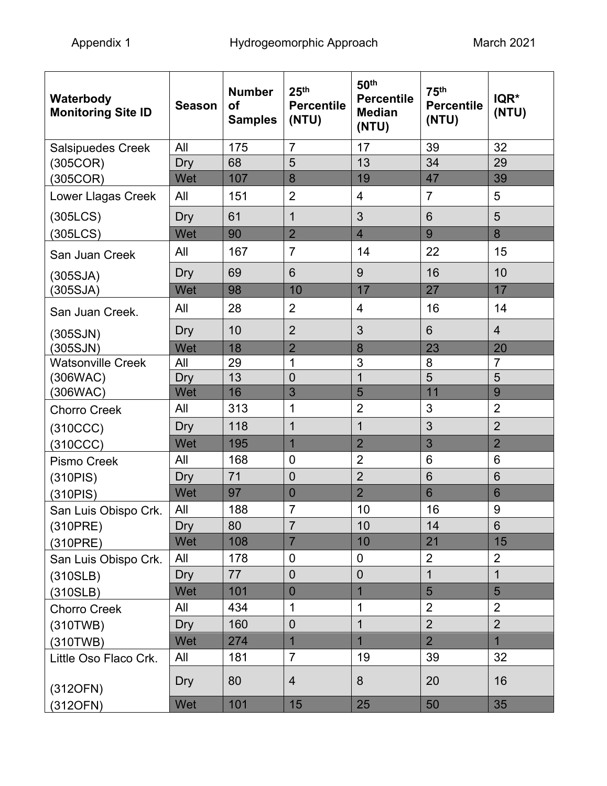| Waterbody<br><b>Monitoring Site ID</b> | <b>Season</b> | <b>Number</b><br><b>of</b><br><b>Samples</b> | 25 <sup>th</sup><br><b>Percentile</b><br>(NTU) | 50th<br><b>Percentile</b><br><b>Median</b><br>(NTU) | 75 <sup>th</sup><br><b>Percentile</b><br>(NTU) | IQR*<br>(NTU)   |
|----------------------------------------|---------------|----------------------------------------------|------------------------------------------------|-----------------------------------------------------|------------------------------------------------|-----------------|
| <b>Salsipuedes Creek</b>               | All           | 175                                          | $\overline{7}$                                 | 17                                                  | 39                                             | 32              |
| (305COR)                               | Dry           | 68                                           | 5                                              | 13                                                  | 34                                             | 29              |
| (305COR)                               | Wet           | 107                                          | 8                                              | 19                                                  | 47                                             | 39              |
| Lower Llagas Creek                     | All           | 151                                          | $\overline{2}$                                 | 4                                                   | $\overline{7}$                                 | 5               |
| (305LCS)                               | Dry           | 61                                           | $\mathbf{1}$                                   | 3                                                   | 6                                              | 5               |
| (305LCS)                               | Wet           | 90                                           | $\overline{2}$                                 | $\overline{\mathbf{4}}$                             | 9                                              | 8               |
| San Juan Creek                         | All           | 167                                          | $\overline{7}$                                 | 14                                                  | 22                                             | 15              |
| (305SJA)                               | Dry           | 69                                           | 6                                              | 9                                                   | 16                                             | 10              |
| (305SJA)                               | Wet           | 98                                           | 10                                             | 17                                                  | 27                                             | 17              |
| San Juan Creek.                        | All           | 28                                           | $\overline{2}$                                 | $\overline{4}$                                      | 16                                             | 14              |
| (305SJN)                               | Dry           | 10                                           | $\overline{2}$                                 | 3                                                   | 6                                              | $\overline{4}$  |
| (305SJN)                               | Wet           | 18                                           | $\overline{2}$                                 | 8                                                   | 23                                             | 20              |
| <b>Watsonville Creek</b>               | All           | 29                                           | 1                                              | 3                                                   | 8                                              | $\overline{7}$  |
| (306WAC)                               | Dry           | 13                                           | $\overline{0}$                                 | $\overline{1}$                                      | $\overline{5}$                                 | 5               |
| (306WAC)                               | Wet           | 16                                           | 3                                              | 5                                                   | 11                                             | 9               |
| <b>Chorro Creek</b>                    | All           | 313                                          | 1                                              | $\overline{2}$                                      | 3                                              | $\overline{2}$  |
| (310CCC)                               | Dry           | 118                                          | $\mathbf 1$                                    | $\mathbf 1$                                         | 3                                              | $\overline{2}$  |
| (310CCC)                               | Wet           | 195                                          | $\overline{1}$                                 | $\overline{2}$                                      | 3                                              | $\overline{2}$  |
| <b>Pismo Creek</b>                     | All           | 168                                          | $\mathbf 0$                                    | $\overline{2}$                                      | $6\phantom{1}$                                 | $6\phantom{1}6$ |
| (310PIS)                               | Dry           | 71                                           | $\overline{0}$                                 | $\overline{2}$                                      | 6                                              | $6\phantom{1}6$ |
| (310PIS)                               | Wet           | 97                                           | $\mathbf{0}$                                   | $\overline{2}$                                      | 6                                              | $6\phantom{1}6$ |
| San Luis Obispo Crk.                   | All           | 188                                          | $\overline{7}$                                 | 10                                                  | 16                                             | 9               |
| (310PRE)                               | Dry           | 80                                           | $\overline{7}$                                 | 10                                                  | 14                                             | $6\phantom{1}$  |
| (310PRE)                               | Wet           | 108                                          | $\overline{7}$                                 | 10                                                  | 21                                             | 15              |
| San Luis Obispo Crk.                   | All           | 178                                          | $\overline{0}$                                 | $\mathbf 0$                                         | $\overline{2}$                                 | $\overline{2}$  |
| (310SLB)                               | Dry           | 77                                           | $\overline{0}$                                 | $\overline{0}$                                      | $\mathbf{1}$                                   | $\mathbf{1}$    |
| (310SLB)                               | Wet           | 101                                          | $\overline{0}$                                 | $\overline{1}$                                      | 5                                              | 5               |
| <b>Chorro Creek</b>                    | All           | 434                                          | $\mathbf 1$                                    | $\mathbf 1$                                         | $\overline{2}$                                 | $\overline{2}$  |
| (310TWB)                               | Dry           | 160                                          | $\overline{0}$                                 | $\mathbf{1}$                                        | $\overline{2}$                                 | $\overline{2}$  |
| (310TWB)                               | Wet           | 274                                          | $\mathbf{1}$                                   | $\overline{1}$                                      | $\overline{2}$                                 | $\overline{1}$  |
| Little Oso Flaco Crk.                  | All           | 181                                          | $\overline{7}$                                 | 19                                                  | 39                                             | 32              |
| (312OFN)                               | Dry           | 80                                           | 4                                              | 8                                                   | 20                                             | 16              |
| $(312$ OFN)                            | Wet           | 101                                          | 15                                             | 25                                                  | 50                                             | 35              |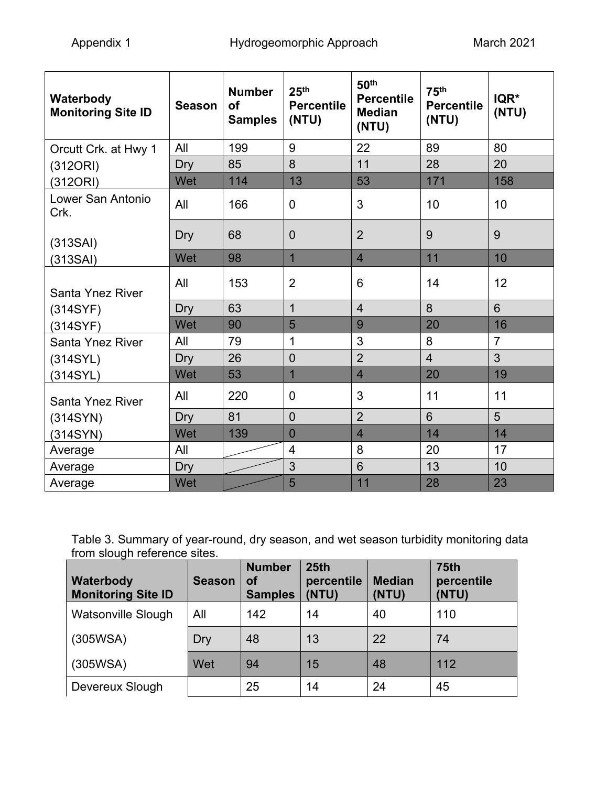| Waterbody<br><b>Monitoring Site ID</b> | <b>Season</b> | <b>Number</b><br><b>of</b><br><b>Samples</b> | 25 <sup>th</sup><br><b>Percentile</b><br>(NTU) | 50 <sup>th</sup><br><b>Percentile</b><br><b>Median</b><br>(NTU) | 75 <sup>th</sup><br><b>Percentile</b><br>(NTU) | IQR*<br>(NTU)  |
|----------------------------------------|---------------|----------------------------------------------|------------------------------------------------|-----------------------------------------------------------------|------------------------------------------------|----------------|
| Orcutt Crk. at Hwy 1                   | All           | 199                                          | 9                                              | 22                                                              | 89                                             | 80             |
| (312ORI)                               | Dry           | 85                                           | 8                                              | 11                                                              | 28                                             | 20             |
| (312ORI)                               | Wet           | 114                                          | 13                                             | 53                                                              | 171                                            | 158            |
| Lower San Antonio<br>Crk.              | All           | 166                                          | $\mathbf 0$                                    | 3                                                               | 10                                             | 10             |
| (313SAI)                               | Dry           | 68                                           | $\overline{0}$                                 | $\overline{2}$                                                  | 9                                              | 9              |
| (313SAI)                               | Wet           | 98                                           | $\overline{1}$                                 | $\overline{4}$                                                  | 11                                             | 10             |
| <b>Santa Ynez River</b>                | All           | 153                                          | $\overline{2}$                                 | 6                                                               | 14                                             | 12             |
| (314SYF)                               | Dry           | 63                                           | $\overline{1}$                                 | $\overline{4}$                                                  | 8                                              | $6\phantom{1}$ |
| (314SYF)                               | Wet           | 90                                           | 5                                              | 9                                                               | 20                                             | 16             |
| Santa Ynez River                       | All           | 79                                           | 1                                              | 3                                                               | 8                                              | $\overline{7}$ |
| (314SYL)                               | Dry           | 26                                           | $\overline{0}$                                 | $\overline{2}$                                                  | $\overline{4}$                                 | 3              |
| (314SYL)                               | Wet           | 53                                           | $\overline{1}$                                 | $\overline{\mathbf{4}}$                                         | 20                                             | 19             |
| <b>Santa Ynez River</b>                | All           | 220                                          | $\overline{0}$                                 | 3                                                               | 11                                             | 11             |
| (314SYN)                               | <b>Dry</b>    | 81                                           | $\overline{0}$                                 | $\overline{2}$                                                  | 6                                              | 5              |
| (314SYN)                               | Wet           | 139                                          | $\overline{0}$                                 | $\overline{4}$                                                  | 14                                             | 14             |
| Average                                | All           |                                              | 4                                              | 8                                                               | 20                                             | 17             |
| Average                                | Dry           |                                              | 3                                              | 6                                                               | 13                                             | 10             |
| Average                                | Wet           |                                              | 5                                              | 11                                                              | 28                                             | 23             |

| Table 3. Summary of year-round, dry season, and wet season turbidity monitoring data |  |
|--------------------------------------------------------------------------------------|--|
| from slough reference sites.                                                         |  |

| Waterbody<br><b>Monitoring Site ID</b> | <b>Season</b> | <b>Number</b><br>οf<br><b>Samples</b> | 25 <sub>th</sub><br>percentile<br>(NTU) | <b>Median</b><br>(NTU) | <b>75th</b><br>percentile<br>(NTU) |
|----------------------------------------|---------------|---------------------------------------|-----------------------------------------|------------------------|------------------------------------|
| <b>Watsonville Slough</b>              | All           | 142                                   | 14                                      | 40                     | 110                                |
| (305WSA)                               | Dry           | 48                                    | 13                                      | 22                     | 74                                 |
| (305WSA)                               | Wet           | 94                                    | 15                                      | 48                     | 112                                |
| Devereux Slough                        |               | 25                                    | 14                                      | 24                     | 45                                 |